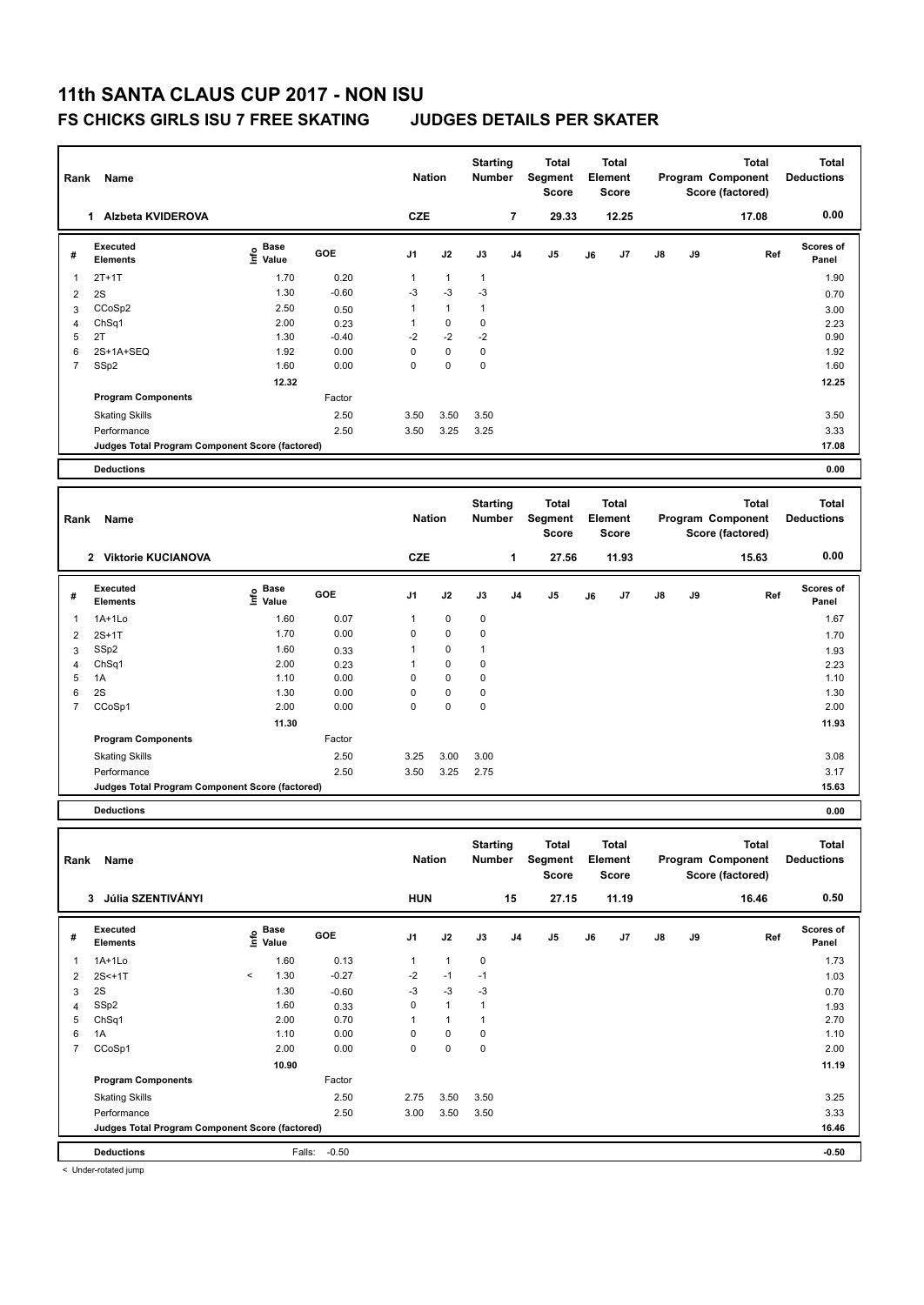### **FS CHICKS GIRLS ISU 7 FREE SKATING JUDGES DETAILS PER SKATER**

| Rank           | Name                                            |                           |         | <b>Nation</b> |              | <b>Starting</b><br>Number |    | <b>Total</b><br>Segment<br><b>Score</b> |    | <b>Total</b><br>Element<br><b>Score</b> |    |    | <b>Total</b><br><b>Program Component</b><br>Score (factored) | <b>Total</b><br><b>Deductions</b> |
|----------------|-------------------------------------------------|---------------------------|---------|---------------|--------------|---------------------------|----|-----------------------------------------|----|-----------------------------------------|----|----|--------------------------------------------------------------|-----------------------------------|
|                | 1 Alzbeta KVIDEROVA                             |                           |         | <b>CZE</b>    |              |                           | 7  | 29.33                                   |    | 12.25                                   |    |    | 17.08                                                        | 0.00                              |
| #              | Executed<br><b>Elements</b>                     | Base<br>e Base<br>⊆ Value | GOE     | J1            | J2           | J3                        | J4 | J5                                      | J6 | J7                                      | J8 | J9 | Ref                                                          | Scores of<br>Panel                |
| -1             | $2T+1T$                                         | 1.70                      | 0.20    | 1             | $\mathbf{1}$ | $\mathbf{1}$              |    |                                         |    |                                         |    |    |                                                              | 1.90                              |
| 2              | 2S                                              | 1.30                      | $-0.60$ | $-3$          | $-3$         | $-3$                      |    |                                         |    |                                         |    |    |                                                              | 0.70                              |
| 3              | CCoSp2                                          | 2.50                      | 0.50    | 1             | $\mathbf{1}$ | $\mathbf{1}$              |    |                                         |    |                                         |    |    |                                                              | 3.00                              |
| 4              | ChSq1                                           | 2.00                      | 0.23    | $\mathbf{1}$  | $\pmb{0}$    | $\pmb{0}$                 |    |                                         |    |                                         |    |    |                                                              | 2.23                              |
| 5              | 2T                                              | 1.30                      | $-0.40$ | $-2$          | $-2$         | $-2$                      |    |                                         |    |                                         |    |    |                                                              | 0.90                              |
| 6              | 2S+1A+SEQ                                       | 1.92                      | 0.00    | 0             | 0            | $\pmb{0}$                 |    |                                         |    |                                         |    |    |                                                              | 1.92                              |
| $\overline{7}$ | SSp2                                            | 1.60                      | 0.00    | $\mathbf 0$   | $\pmb{0}$    | $\mathbf 0$               |    |                                         |    |                                         |    |    |                                                              | 1.60                              |
|                |                                                 | 12.32                     |         |               |              |                           |    |                                         |    |                                         |    |    |                                                              | 12.25                             |
|                | <b>Program Components</b>                       |                           | Factor  |               |              |                           |    |                                         |    |                                         |    |    |                                                              |                                   |
|                | <b>Skating Skills</b>                           |                           | 2.50    | 3.50          | 3.50         | 3.50                      |    |                                         |    |                                         |    |    |                                                              | 3.50                              |
|                | Performance                                     |                           | 2.50    | 3.50          | 3.25         | 3.25                      |    |                                         |    |                                         |    |    |                                                              | 3.33                              |
|                | Judges Total Program Component Score (factored) |                           |         |               |              |                           |    |                                         |    |                                         |    |    |                                                              | 17.08                             |
|                | <b>Deductions</b>                               |                           |         |               |              |                           |    |                                         |    |                                         |    |    |                                                              | 0.00                              |
|                |                                                 |                           |         |               |              |                           |    |                                         |    |                                         |    |    |                                                              |                                   |
| Rank           | Name                                            |                           |         | <b>Nation</b> |              | <b>Starting</b><br>Number |    | <b>Total</b><br>Segment<br><b>Score</b> |    | <b>Total</b><br>Element<br>Score        |    |    | <b>Total</b><br>Program Component<br>Score (factored)        | <b>Total</b><br><b>Deductions</b> |
|                | 2 Viktorie KUCIANOVA                            |                           |         | <b>CZE</b>    |              |                           | 1  | 27.56                                   |    | 11.93                                   |    |    | 15.63                                                        | 0.00                              |
|                | Executed                                        | Base                      |         |               |              |                           |    |                                         |    |                                         |    |    |                                                              | Scores of                         |
| #              | <b>Elements</b>                                 | o Base<br>⊆ Value         | GOE     | J1            | J2           | J3                        | J4 | J5                                      | J6 | J7                                      | J8 | J9 | Ref                                                          | Panel                             |
| -1             | $1A+1Lo$                                        | 1.60                      | 0.07    | $\mathbf{1}$  | $\mathbf 0$  | $\pmb{0}$                 |    |                                         |    |                                         |    |    |                                                              | 1.67                              |
| $\overline{2}$ | $2S+1T$                                         | 1.70                      | 0.00    | 0             | $\pmb{0}$    | $\mathbf 0$               |    |                                         |    |                                         |    |    |                                                              | 1.70                              |
| 3              | SSp2                                            | 1.60                      | 0.33    | 1             | $\pmb{0}$    | $\mathbf{1}$              |    |                                         |    |                                         |    |    |                                                              | 1.93                              |
| 4              | Ch <sub>Sq1</sub>                               | 2.00                      | 0.23    | $\mathbf{1}$  | $\pmb{0}$    | $\mathbf 0$               |    |                                         |    |                                         |    |    |                                                              | 2.23                              |
| 5              | 1A                                              | 1.10                      | 0.00    | 0             | $\pmb{0}$    | $\pmb{0}$                 |    |                                         |    |                                         |    |    |                                                              | 1.10                              |
| 6              | 2S                                              | 1.30                      | 0.00    | 0             | $\pmb{0}$    | $\pmb{0}$                 |    |                                         |    |                                         |    |    |                                                              | 1.30                              |
| 7              | CCoSp1                                          | 2.00                      | 0.00    | $\mathbf 0$   | $\pmb{0}$    | $\pmb{0}$                 |    |                                         |    |                                         |    |    |                                                              | 2.00                              |
|                |                                                 | 11.30                     |         |               |              |                           |    |                                         |    |                                         |    |    |                                                              | 11.93                             |
|                | <b>Program Components</b>                       |                           | Factor  |               |              |                           |    |                                         |    |                                         |    |    |                                                              |                                   |
|                | <b>Skating Skills</b>                           |                           | 2.50    | 3.25          | 3.00         | 3.00                      |    |                                         |    |                                         |    |    |                                                              | 3.08                              |
|                | Performance                                     |                           | 2.50    | 3.50          | 3.25         | 2.75                      |    |                                         |    |                                         |    |    |                                                              | 3.17                              |
|                | Judges Total Program Component Score (factored) |                           |         |               |              |                           |    |                                         |    |                                         |    |    |                                                              | 15.63                             |
|                | <b>Deductions</b>                               |                           |         |               |              |                           |    |                                         |    |                                         |    |    |                                                              | 0.00                              |
|                |                                                 |                           |         |               |              |                           |    |                                         |    |                                         |    |    |                                                              |                                   |
|                | Rank Name                                       |                           |         | <b>Nation</b> |              | <b>Starting</b><br>Number |    | <b>Total</b><br>Segment<br>Score        |    | <b>Total</b><br>Element<br>Score        |    |    | <b>Total</b><br>Program Component<br>Score (factored)        | <b>Total</b><br><b>Deductions</b> |
|                | 3 Júlia SZENTIVÁNYI                             |                           |         | <b>HUN</b>    |              |                           | 15 | 27.15                                   |    | 11.19                                   |    |    | 16.46                                                        | 0.50                              |
|                | Executed                                        | Base                      |         |               |              |                           |    |                                         |    |                                         |    |    |                                                              | Scores of                         |
| #              | Elements                                        | e Base<br>⊆ Value         | GOE     | J1            | J2           | J3                        | J4 | J5                                      | J6 | J7                                      | J8 | J9 | Ref                                                          | Panel                             |
| 1              | 1A+1Lo                                          | 1.60                      | 0.13    | $\mathbf{1}$  | $\mathbf{1}$ | $\pmb{0}$                 |    |                                         |    |                                         |    |    |                                                              | 1.73                              |
| 2              | 2S<+1T                                          | 1.30<br>$\,<\,$           | $-0.27$ | $-2$          | $-1$         | $-1$                      |    |                                         |    |                                         |    |    |                                                              | 1.03                              |
| 3              | 2S                                              | 1.30                      | $-0.60$ | $-3$          | $-3$         | $-3$                      |    |                                         |    |                                         |    |    |                                                              | 0.70                              |
| $\overline{4}$ | $\mathsf{SSp2}$                                 | 1.60                      | 0.33    | 0             | $\mathbf{1}$ | $\mathbf{1}$              |    |                                         |    |                                         |    |    |                                                              | 1.93                              |
| 5              | ChSq1                                           | 2.00                      | 0.70    | $\mathbf{1}$  | $\mathbf{1}$ | $\mathbf{1}$              |    |                                         |    |                                         |    |    |                                                              | 2.70                              |
| 6              | 1A                                              | 1.10                      | 0.00    | 0             | 0            | $\pmb{0}$                 |    |                                         |    |                                         |    |    |                                                              | 1.10                              |
| $\overline{7}$ | CCoSp1                                          | 2.00                      | 0.00    | 0             | $\pmb{0}$    | $\pmb{0}$                 |    |                                         |    |                                         |    |    |                                                              | 2.00                              |
|                |                                                 | 10.90                     |         |               |              |                           |    |                                         |    |                                         |    |    |                                                              | 11.19                             |
|                | <b>Program Components</b>                       |                           | Factor  |               |              |                           |    |                                         |    |                                         |    |    |                                                              |                                   |
|                | <b>Skating Skills</b>                           |                           | 2.50    | 2.75          | 3.50         | 3.50                      |    |                                         |    |                                         |    |    |                                                              | 3.25                              |
|                | Performance                                     |                           | 2.50    | 3.00          | 3.50         | 3.50                      |    |                                         |    |                                         |    |    |                                                              | 3.33                              |
|                | Judges Total Program Component Score (factored) |                           |         |               |              |                           |    |                                         |    |                                         |    |    |                                                              | 16.46                             |
|                | <b>Deductions</b>                               | Falls:                    | $-0.50$ |               |              |                           |    |                                         |    |                                         |    |    |                                                              | $-0.50$                           |

< Under-rotated jump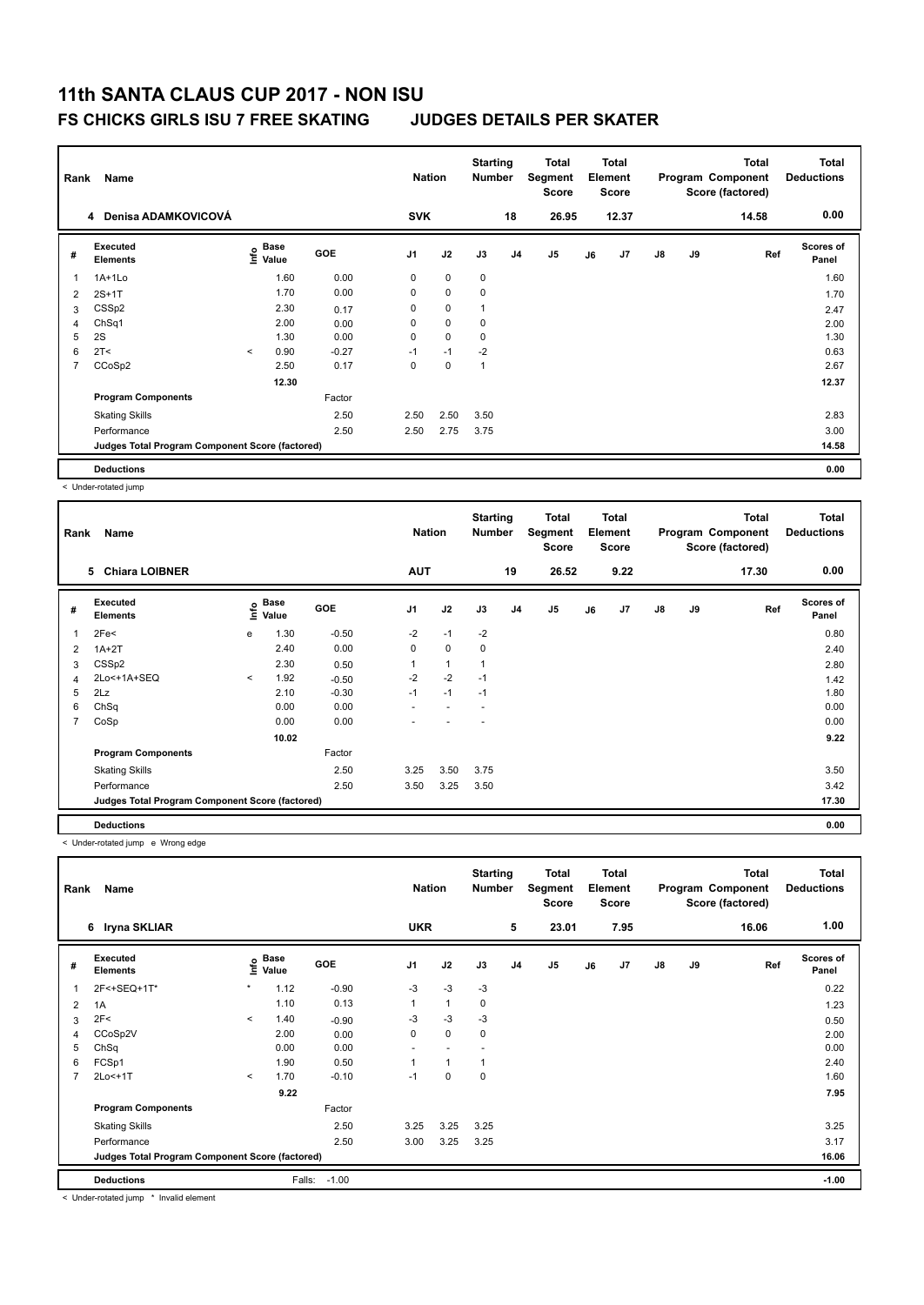### **FS CHICKS GIRLS ISU 7 FREE SKATING JUDGES DETAILS PER SKATER**

| Rank | Name<br>4 Denisa ADAMKOVICOVÁ                   |          |                           |         |                | <b>Nation</b> | <b>Starting</b><br><b>Number</b> |                | Total<br>Segment<br>Score |    | <b>Total</b><br>Element<br><b>Score</b> |               |    | <b>Total</b><br>Program Component<br>Score (factored) | Total<br><b>Deductions</b> |
|------|-------------------------------------------------|----------|---------------------------|---------|----------------|---------------|----------------------------------|----------------|---------------------------|----|-----------------------------------------|---------------|----|-------------------------------------------------------|----------------------------|
|      |                                                 |          |                           |         | <b>SVK</b>     |               |                                  | 18             | 26.95                     |    | 12.37                                   |               |    | 14.58                                                 | 0.00                       |
| #    | Executed<br><b>Elements</b>                     |          | Base<br>e Base<br>⊆ Value | GOE     | J <sub>1</sub> | J2            | J3                               | J <sub>4</sub> | J <sub>5</sub>            | J6 | J7                                      | $\mathsf{J}8$ | J9 | Ref                                                   | Scores of<br>Panel         |
| 1    | 1A+1Lo                                          |          | 1.60                      | 0.00    | 0              | $\mathbf 0$   | $\mathbf 0$                      |                |                           |    |                                         |               |    |                                                       | 1.60                       |
| 2    | $2S+1T$                                         |          | 1.70                      | 0.00    | 0              | $\mathbf 0$   | $\mathbf 0$                      |                |                           |    |                                         |               |    |                                                       | 1.70                       |
| 3    | CSS <sub>p2</sub>                               |          | 2.30                      | 0.17    | 0              | $\pmb{0}$     | 1                                |                |                           |    |                                         |               |    |                                                       | 2.47                       |
| 4    | ChSq1                                           |          | 2.00                      | 0.00    | 0              | $\mathbf 0$   | 0                                |                |                           |    |                                         |               |    |                                                       | 2.00                       |
| 5    | 2S                                              |          | 1.30                      | 0.00    | 0              | $\mathbf 0$   | 0                                |                |                           |    |                                         |               |    |                                                       | 1.30                       |
| 6    | 2T <                                            | $\hat{}$ | 0.90                      | $-0.27$ | $-1$           | $-1$          | $-2$                             |                |                           |    |                                         |               |    |                                                       | 0.63                       |
| 7    | CCoSp2                                          |          | 2.50                      | 0.17    | 0              | $\mathbf 0$   | 1                                |                |                           |    |                                         |               |    |                                                       | 2.67                       |
|      |                                                 |          | 12.30                     |         |                |               |                                  |                |                           |    |                                         |               |    |                                                       | 12.37                      |
|      | <b>Program Components</b>                       |          |                           | Factor  |                |               |                                  |                |                           |    |                                         |               |    |                                                       |                            |
|      | <b>Skating Skills</b>                           |          |                           | 2.50    | 2.50           | 2.50          | 3.50                             |                |                           |    |                                         |               |    |                                                       | 2.83                       |
|      | Performance                                     |          |                           | 2.50    | 2.50           | 2.75          | 3.75                             |                |                           |    |                                         |               |    |                                                       | 3.00                       |
|      | Judges Total Program Component Score (factored) |          |                           |         |                |               |                                  |                |                           |    |                                         |               |    |                                                       | 14.58                      |
|      | <b>Deductions</b>                               |          |                           |         |                |               |                                  |                |                           |    |                                         |               |    |                                                       | 0.00                       |

< Under-rotated jump

| Rank | Name<br><b>Chiara LOIBNER</b><br>5              |         |               |         |                | <b>Nation</b> | <b>Starting</b><br><b>Number</b> |                | Total<br>Segment<br><b>Score</b> |    | <b>Total</b><br>Element<br><b>Score</b> |               |    | <b>Total</b><br>Program Component<br>Score (factored) | <b>Total</b><br><b>Deductions</b> |
|------|-------------------------------------------------|---------|---------------|---------|----------------|---------------|----------------------------------|----------------|----------------------------------|----|-----------------------------------------|---------------|----|-------------------------------------------------------|-----------------------------------|
|      |                                                 |         |               |         | <b>AUT</b>     |               |                                  | 19             | 26.52                            |    | 9.22                                    |               |    | 17.30                                                 | 0.00                              |
| #    | Executed<br><b>Elements</b>                     | ۴       | Base<br>Value | GOE     | J <sub>1</sub> | J2            | J3                               | J <sub>4</sub> | J <sub>5</sub>                   | J6 | J7                                      | $\mathsf{J}8$ | J9 | Ref                                                   | <b>Scores of</b><br>Panel         |
| 1    | 2Fe<                                            | e       | 1.30          | $-0.50$ | $-2$           | $-1$          | $-2$                             |                |                                  |    |                                         |               |    |                                                       | 0.80                              |
| 2    | $1A+2T$                                         |         | 2.40          | 0.00    | 0              | $\mathbf 0$   | 0                                |                |                                  |    |                                         |               |    |                                                       | 2.40                              |
| 3    | CSS <sub>p2</sub>                               |         | 2.30          | 0.50    | 1              | $\mathbf{1}$  |                                  |                |                                  |    |                                         |               |    |                                                       | 2.80                              |
| 4    | 2Lo<+1A+SEQ                                     | $\prec$ | 1.92          | $-0.50$ | $-2$           | $-2$          | $-1$                             |                |                                  |    |                                         |               |    |                                                       | 1.42                              |
| 5    | 2Lz                                             |         | 2.10          | $-0.30$ | $-1$           | $-1$          | $-1$                             |                |                                  |    |                                         |               |    |                                                       | 1.80                              |
| 6    | ChSq                                            |         | 0.00          | 0.00    |                |               |                                  |                |                                  |    |                                         |               |    |                                                       | 0.00                              |
| 7    | CoSp                                            |         | 0.00          | 0.00    |                |               |                                  |                |                                  |    |                                         |               |    |                                                       | 0.00                              |
|      |                                                 |         | 10.02         |         |                |               |                                  |                |                                  |    |                                         |               |    |                                                       | 9.22                              |
|      | <b>Program Components</b>                       |         |               | Factor  |                |               |                                  |                |                                  |    |                                         |               |    |                                                       |                                   |
|      | <b>Skating Skills</b>                           |         |               | 2.50    | 3.25           | 3.50          | 3.75                             |                |                                  |    |                                         |               |    |                                                       | 3.50                              |
|      | Performance                                     |         |               | 2.50    | 3.50           | 3.25          | 3.50                             |                |                                  |    |                                         |               |    |                                                       | 3.42                              |
|      | Judges Total Program Component Score (factored) |         |               |         |                |               |                                  |                |                                  |    |                                         |               |    |                                                       | 17.30                             |
|      | <b>Deductions</b>                               |         |               |         |                |               |                                  |                |                                  |    |                                         |               |    |                                                       | 0.00                              |

< Under-rotated jump e Wrong edge

| Rank           | Name                                            |         | <b>Nation</b>                    |         | <b>Starting</b><br><b>Number</b> |                | <b>Total</b><br>Segment<br><b>Score</b> |                | <b>Total</b><br>Element<br>Score |    |                | <b>Total</b><br>Program Component<br>Score (factored) | <b>Total</b><br><b>Deductions</b> |       |                           |
|----------------|-------------------------------------------------|---------|----------------------------------|---------|----------------------------------|----------------|-----------------------------------------|----------------|----------------------------------|----|----------------|-------------------------------------------------------|-----------------------------------|-------|---------------------------|
|                | 6 Iryna SKLIAR                                  |         |                                  |         | <b>UKR</b>                       |                |                                         | 5              | 23.01                            |    | 7.95           |                                                       |                                   | 16.06 | 1.00                      |
| #              | Executed<br><b>Elements</b>                     |         | <b>Base</b><br>e Base<br>⊆ Value | GOE     | J <sub>1</sub>                   | J2             | J3                                      | J <sub>4</sub> | J5                               | J6 | J <sub>7</sub> | J8                                                    | J9                                | Ref   | <b>Scores of</b><br>Panel |
|                | 2F<+SEQ+1T*                                     | $\star$ | 1.12                             | $-0.90$ | $-3$                             | $-3$           | $-3$                                    |                |                                  |    |                |                                                       |                                   |       | 0.22                      |
| 2              | 1A                                              |         | 1.10                             | 0.13    | 1                                | $\mathbf{1}$   | 0                                       |                |                                  |    |                |                                                       |                                   |       | 1.23                      |
| 3              | 2F<                                             | $\prec$ | 1.40                             | $-0.90$ | -3                               | $-3$           | -3                                      |                |                                  |    |                |                                                       |                                   |       | 0.50                      |
| 4              | CCoSp2V                                         |         | 2.00                             | 0.00    | 0                                | $\mathbf 0$    | 0                                       |                |                                  |    |                |                                                       |                                   |       | 2.00                      |
| 5              | ChSq                                            |         | 0.00                             | 0.00    | ٠                                |                |                                         |                |                                  |    |                |                                                       |                                   |       | 0.00                      |
| 6              | FCSp1                                           |         | 1.90                             | 0.50    |                                  | $\overline{1}$ |                                         |                |                                  |    |                |                                                       |                                   |       | 2.40                      |
| $\overline{7}$ | 2Lo<+1T                                         | $\prec$ | 1.70                             | $-0.10$ | $-1$                             | $\mathbf 0$    | 0                                       |                |                                  |    |                |                                                       |                                   |       | 1.60                      |
|                |                                                 |         | 9.22                             |         |                                  |                |                                         |                |                                  |    |                |                                                       |                                   |       | 7.95                      |
|                | <b>Program Components</b>                       |         |                                  | Factor  |                                  |                |                                         |                |                                  |    |                |                                                       |                                   |       |                           |
|                | <b>Skating Skills</b>                           |         |                                  | 2.50    | 3.25                             | 3.25           | 3.25                                    |                |                                  |    |                |                                                       |                                   |       | 3.25                      |
|                | Performance                                     |         |                                  | 2.50    | 3.00                             | 3.25           | 3.25                                    |                |                                  |    |                |                                                       |                                   |       | 3.17                      |
|                | Judges Total Program Component Score (factored) |         |                                  |         |                                  |                |                                         |                |                                  |    |                |                                                       |                                   |       | 16.06                     |
|                | <b>Deductions</b>                               |         | Falls:                           | $-1.00$ |                                  |                |                                         |                |                                  |    |                |                                                       |                                   |       | $-1.00$                   |

< Under-rotated jump \* Invalid element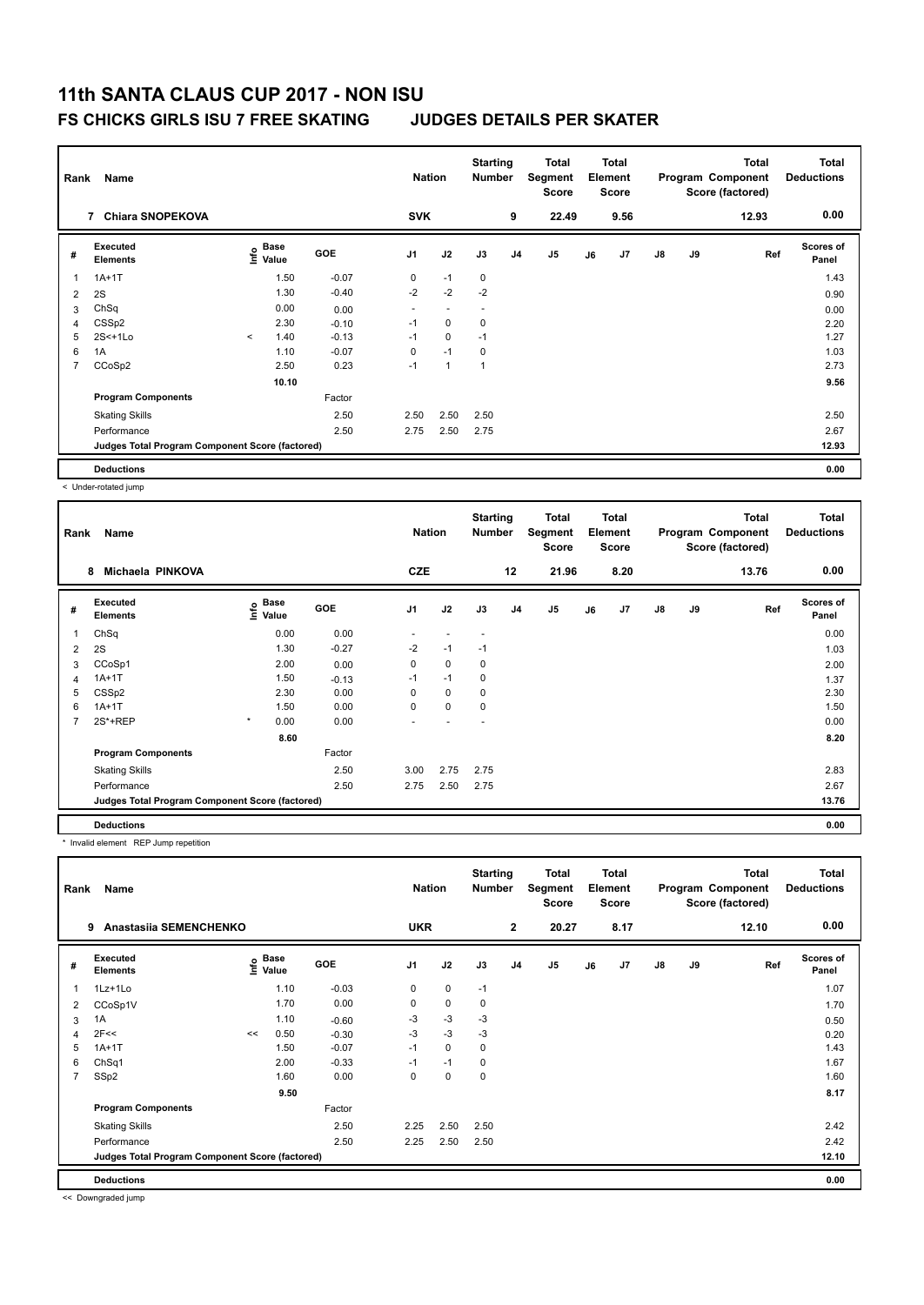### **FS CHICKS GIRLS ISU 7 FREE SKATING JUDGES DETAILS PER SKATER**

| Rank           | Name<br>7 Chiara SNOPEKOVA                      |         |                           |         |                | <b>Nation</b>            | <b>Starting</b><br><b>Number</b> |                | Total<br>Segment<br>Score |    | <b>Total</b><br>Element<br><b>Score</b> |               |    | <b>Total</b><br>Program Component<br>Score (factored) | <b>Total</b><br><b>Deductions</b> |
|----------------|-------------------------------------------------|---------|---------------------------|---------|----------------|--------------------------|----------------------------------|----------------|---------------------------|----|-----------------------------------------|---------------|----|-------------------------------------------------------|-----------------------------------|
|                |                                                 |         |                           |         | <b>SVK</b>     |                          |                                  | 9              | 22.49                     |    | 9.56                                    |               |    | 12.93                                                 | 0.00                              |
| #              | Executed<br><b>Elements</b>                     |         | Base<br>e Base<br>⊆ Value | GOE     | J <sub>1</sub> | J2                       | J3                               | J <sub>4</sub> | J <sub>5</sub>            | J6 | J7                                      | $\mathsf{J}8$ | J9 | Ref                                                   | Scores of<br>Panel                |
| 1              | $1A+1T$                                         |         | 1.50                      | $-0.07$ | 0              | $-1$                     | $\mathbf 0$                      |                |                           |    |                                         |               |    |                                                       | 1.43                              |
| 2              | 2S                                              |         | 1.30                      | $-0.40$ | $-2$           | $-2$                     | $-2$                             |                |                           |    |                                         |               |    |                                                       | 0.90                              |
| 3              | ChSq                                            |         | 0.00                      | 0.00    |                | $\overline{\phantom{a}}$ |                                  |                |                           |    |                                         |               |    |                                                       | 0.00                              |
| 4              | CSS <sub>p2</sub>                               |         | 2.30                      | $-0.10$ | $-1$           | $\mathbf 0$              | 0                                |                |                           |    |                                         |               |    |                                                       | 2.20                              |
| 5              | $2S<+1Lo$                                       | $\prec$ | 1.40                      | $-0.13$ | $-1$           | $\mathbf 0$              | $-1$                             |                |                           |    |                                         |               |    |                                                       | 1.27                              |
| 6              | 1A                                              |         | 1.10                      | $-0.07$ | 0              | $-1$                     | 0                                |                |                           |    |                                         |               |    |                                                       | 1.03                              |
| $\overline{7}$ | CCoSp2                                          |         | 2.50                      | 0.23    | $-1$           | 1                        | 1                                |                |                           |    |                                         |               |    |                                                       | 2.73                              |
|                |                                                 |         | 10.10                     |         |                |                          |                                  |                |                           |    |                                         |               |    |                                                       | 9.56                              |
|                | <b>Program Components</b>                       |         |                           | Factor  |                |                          |                                  |                |                           |    |                                         |               |    |                                                       |                                   |
|                | <b>Skating Skills</b>                           |         |                           | 2.50    | 2.50           | 2.50                     | 2.50                             |                |                           |    |                                         |               |    |                                                       | 2.50                              |
|                | Performance                                     |         |                           | 2.50    | 2.75           | 2.50                     | 2.75                             |                |                           |    |                                         |               |    |                                                       | 2.67                              |
|                | Judges Total Program Component Score (factored) |         |                           |         |                |                          |                                  |                |                           |    |                                         |               |    |                                                       | 12.93                             |
|                | <b>Deductions</b>                               |         |                           |         |                |                          |                                  |                |                           |    |                                         |               |    |                                                       | 0.00                              |

< Under-rotated jump

| Rank | Name                                            |              | <b>Nation</b>                        |         | <b>Starting</b><br><b>Number</b> |                          | Total<br>Segment<br><b>Score</b> |                | <b>Total</b><br>Element<br><b>Score</b> |    |      | <b>Total</b><br>Program Component<br>Score (factored) | Total<br><b>Deductions</b> |       |                    |
|------|-------------------------------------------------|--------------|--------------------------------------|---------|----------------------------------|--------------------------|----------------------------------|----------------|-----------------------------------------|----|------|-------------------------------------------------------|----------------------------|-------|--------------------|
|      | Michaela PINKOVA<br>8                           |              |                                      |         | <b>CZE</b>                       |                          |                                  | 12             | 21.96                                   |    | 8.20 |                                                       |                            | 13.76 | 0.00               |
| #    | <b>Executed</b><br><b>Elements</b>              |              | Base<br>e <sup>Base</sup><br>⊆ Value | GOE     | J <sub>1</sub>                   | J2                       | J3                               | J <sub>4</sub> | J5                                      | J6 | J7   | $\mathsf{J}8$                                         | J9                         | Ref   | Scores of<br>Panel |
| 1    | ChSq                                            |              | 0.00                                 | 0.00    | $\overline{\phantom{0}}$         | $\overline{\phantom{a}}$ | $\overline{\phantom{a}}$         |                |                                         |    |      |                                                       |                            |       | 0.00               |
| 2    | 2S                                              |              | 1.30                                 | $-0.27$ | $-2$                             | $-1$                     | $-1$                             |                |                                         |    |      |                                                       |                            |       | 1.03               |
| 3    | CCoSp1                                          |              | 2.00                                 | 0.00    | 0                                | $\mathbf 0$              | 0                                |                |                                         |    |      |                                                       |                            |       | 2.00               |
| 4    | $1A+1T$                                         |              | 1.50                                 | $-0.13$ | $-1$                             | $-1$                     | 0                                |                |                                         |    |      |                                                       |                            |       | 1.37               |
| 5    | CSS <sub>p2</sub>                               |              | 2.30                                 | 0.00    | 0                                | $\mathbf 0$              | 0                                |                |                                         |    |      |                                                       |                            |       | 2.30               |
| 6    | $1A+1T$                                         |              | 1.50                                 | 0.00    | 0                                | $\mathbf 0$              | 0                                |                |                                         |    |      |                                                       |                            |       | 1.50               |
|      | 2S*+REP                                         | $\pmb{\ast}$ | 0.00                                 | 0.00    |                                  |                          |                                  |                |                                         |    |      |                                                       |                            |       | 0.00               |
|      |                                                 |              | 8.60                                 |         |                                  |                          |                                  |                |                                         |    |      |                                                       |                            |       | 8.20               |
|      | <b>Program Components</b>                       |              |                                      | Factor  |                                  |                          |                                  |                |                                         |    |      |                                                       |                            |       |                    |
|      | <b>Skating Skills</b>                           |              |                                      | 2.50    | 3.00                             | 2.75                     | 2.75                             |                |                                         |    |      |                                                       |                            |       | 2.83               |
|      | Performance                                     |              |                                      | 2.50    | 2.75                             | 2.50                     | 2.75                             |                |                                         |    |      |                                                       |                            |       | 2.67               |
|      | Judges Total Program Component Score (factored) |              |                                      |         |                                  |                          |                                  |                |                                         |    |      |                                                       |                            |       | 13.76              |
|      | <b>Deductions</b>                               |              |                                      |         |                                  |                          |                                  |                |                                         |    |      |                                                       |                            |       | 0.00               |

\* Invalid element REP Jump repetition

|                | Name<br>Rank<br>Anastasiia SEMENCHENKO<br>9     |    |                                   |            |                | <b>Nation</b> | <b>Starting</b><br><b>Number</b> |                | Total<br>Segment<br><b>Score</b> |    | <b>Total</b><br>Element<br><b>Score</b> |               |    | <b>Total</b><br>Program Component<br>Score (factored) | <b>Total</b><br><b>Deductions</b> |
|----------------|-------------------------------------------------|----|-----------------------------------|------------|----------------|---------------|----------------------------------|----------------|----------------------------------|----|-----------------------------------------|---------------|----|-------------------------------------------------------|-----------------------------------|
|                |                                                 |    |                                   |            | <b>UKR</b>     |               |                                  | $\overline{2}$ | 20.27                            |    | 8.17                                    |               |    | 12.10                                                 | 0.00                              |
| #              | Executed<br><b>Elements</b>                     |    | <b>Base</b><br>$\frac{e}{2}$ Base | <b>GOE</b> | J <sub>1</sub> | J2            | J3                               | J <sub>4</sub> | J <sub>5</sub>                   | J6 | J7                                      | $\mathsf{J}8$ | J9 | Ref                                                   | <b>Scores of</b><br>Panel         |
|                | 1Lz+1Lo                                         |    | 1.10                              | $-0.03$    | $\mathbf 0$    | $\mathbf 0$   | $-1$                             |                |                                  |    |                                         |               |    |                                                       | 1.07                              |
| 2              | CCoSp1V                                         |    | 1.70                              | 0.00       | 0              | $\mathbf 0$   | 0                                |                |                                  |    |                                         |               |    |                                                       | 1.70                              |
| 3              | 1A                                              |    | 1.10                              | $-0.60$    | $-3$           | $-3$          | $-3$                             |                |                                  |    |                                         |               |    |                                                       | 0.50                              |
| 4              | 2F<<                                            | << | 0.50                              | $-0.30$    | $-3$           | $-3$          | $-3$                             |                |                                  |    |                                         |               |    |                                                       | 0.20                              |
| 5              | $1A+1T$                                         |    | 1.50                              | $-0.07$    | $-1$           | $\mathbf 0$   | $\mathbf 0$                      |                |                                  |    |                                         |               |    |                                                       | 1.43                              |
| 6              | Ch <sub>Sq1</sub>                               |    | 2.00                              | $-0.33$    | $-1$           | $-1$          | 0                                |                |                                  |    |                                         |               |    |                                                       | 1.67                              |
| $\overline{7}$ | SSp2                                            |    | 1.60                              | 0.00       | $\Omega$       | $\mathbf 0$   | $\mathbf 0$                      |                |                                  |    |                                         |               |    |                                                       | 1.60                              |
|                |                                                 |    | 9.50                              |            |                |               |                                  |                |                                  |    |                                         |               |    |                                                       | 8.17                              |
|                | <b>Program Components</b>                       |    |                                   | Factor     |                |               |                                  |                |                                  |    |                                         |               |    |                                                       |                                   |
|                | <b>Skating Skills</b>                           |    |                                   | 2.50       | 2.25           | 2.50          | 2.50                             |                |                                  |    |                                         |               |    |                                                       | 2.42                              |
|                | Performance                                     |    |                                   | 2.50       | 2.25           | 2.50          | 2.50                             |                |                                  |    |                                         |               |    |                                                       | 2.42                              |
|                | Judges Total Program Component Score (factored) |    |                                   |            |                |               |                                  |                |                                  |    |                                         |               |    |                                                       | 12.10                             |
|                | <b>Deductions</b>                               |    |                                   |            |                |               |                                  |                |                                  |    |                                         |               |    |                                                       | 0.00                              |

<< Downgraded jump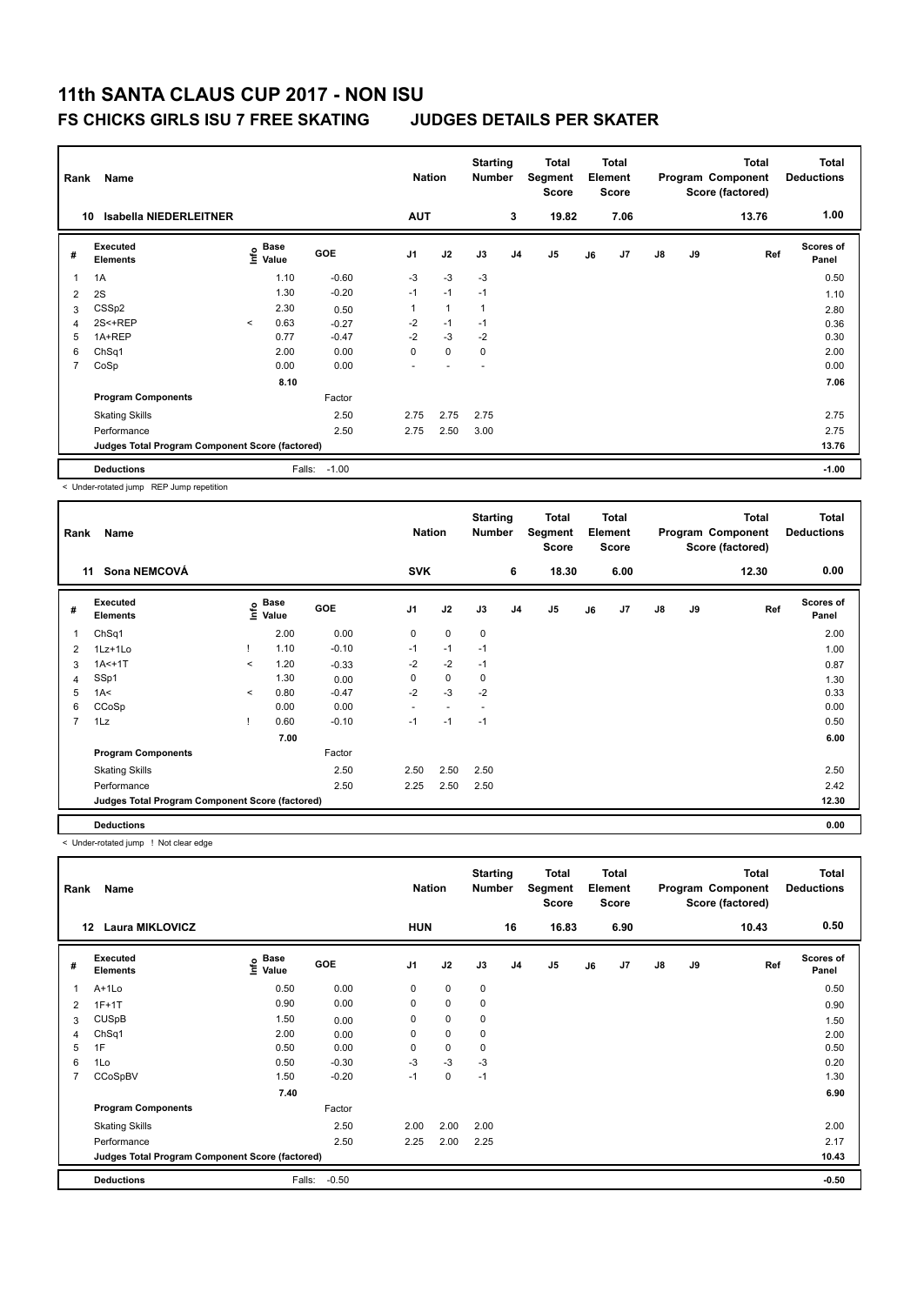### **FS CHICKS GIRLS ISU 7 FREE SKATING JUDGES DETAILS PER SKATER**

| Rank | Name                                            |         |                           |            |                | <b>Nation</b>  | <b>Starting</b><br><b>Number</b> |                | <b>Total</b><br>Segment<br><b>Score</b> |    | <b>Total</b><br>Element<br><b>Score</b> |    |    | Total<br>Program Component<br>Score (factored) | <b>Total</b><br><b>Deductions</b> |
|------|-------------------------------------------------|---------|---------------------------|------------|----------------|----------------|----------------------------------|----------------|-----------------------------------------|----|-----------------------------------------|----|----|------------------------------------------------|-----------------------------------|
| 10   | <b>Isabella NIEDERLEITNER</b>                   |         |                           |            | <b>AUT</b>     |                |                                  | 3              | 19.82                                   |    | 7.06                                    |    |    | 13.76                                          | 1.00                              |
| #    | <b>Executed</b><br><b>Elements</b>              |         | Base<br>e Base<br>⊆ Value | <b>GOE</b> | J <sub>1</sub> | J2             | J3                               | J <sub>4</sub> | J5                                      | J6 | J <sub>7</sub>                          | J8 | J9 | Ref                                            | <b>Scores of</b><br>Panel         |
| 1    | 1A                                              |         | 1.10                      | $-0.60$    | $-3$           | $-3$           | $-3$                             |                |                                         |    |                                         |    |    |                                                | 0.50                              |
| 2    | 2S                                              |         | 1.30                      | $-0.20$    | $-1$           | $-1$           | $-1$                             |                |                                         |    |                                         |    |    |                                                | 1.10                              |
| 3    | CSS <sub>p2</sub>                               |         | 2.30                      | 0.50       |                | $\overline{1}$ |                                  |                |                                         |    |                                         |    |    |                                                | 2.80                              |
| 4    | 2S<+REP                                         | $\prec$ | 0.63                      | $-0.27$    | $-2$           | $-1$           | $-1$                             |                |                                         |    |                                         |    |    |                                                | 0.36                              |
| 5    | 1A+REP                                          |         | 0.77                      | $-0.47$    | $-2$           | $-3$           | $-2$                             |                |                                         |    |                                         |    |    |                                                | 0.30                              |
| 6    | Ch <sub>Sq1</sub>                               |         | 2.00                      | 0.00       | 0              | $\mathbf 0$    | $\mathbf 0$                      |                |                                         |    |                                         |    |    |                                                | 2.00                              |
| 7    | CoSp                                            |         | 0.00                      | 0.00       | ٠              |                | $\overline{\phantom{a}}$         |                |                                         |    |                                         |    |    |                                                | 0.00                              |
|      |                                                 |         | 8.10                      |            |                |                |                                  |                |                                         |    |                                         |    |    |                                                | 7.06                              |
|      | <b>Program Components</b>                       |         |                           | Factor     |                |                |                                  |                |                                         |    |                                         |    |    |                                                |                                   |
|      | <b>Skating Skills</b>                           |         |                           | 2.50       | 2.75           | 2.75           | 2.75                             |                |                                         |    |                                         |    |    |                                                | 2.75                              |
|      | Performance                                     |         |                           | 2.50       | 2.75           | 2.50           | 3.00                             |                |                                         |    |                                         |    |    |                                                | 2.75                              |
|      | Judges Total Program Component Score (factored) |         |                           |            |                |                |                                  |                |                                         |    |                                         |    |    |                                                | 13.76                             |
|      | <b>Deductions</b>                               |         | Falls:                    | $-1.00$    |                |                |                                  |                |                                         |    |                                         |    |    |                                                | $-1.00$                           |

< Under-rotated jump REP Jump repetition

| Rank           | Name                                            |         | <b>Nation</b>     |         | <b>Starting</b><br>Number |             | Total<br>Segment<br><b>Score</b> |                | <b>Total</b><br>Element<br>Score |    |      | <b>Total</b><br>Program Component<br>Score (factored) | Total<br><b>Deductions</b> |       |                    |
|----------------|-------------------------------------------------|---------|-------------------|---------|---------------------------|-------------|----------------------------------|----------------|----------------------------------|----|------|-------------------------------------------------------|----------------------------|-------|--------------------|
| 11             | Sona NEMCOVÁ                                    |         |                   |         | <b>SVK</b>                |             |                                  | 6              | 18.30                            |    | 6.00 |                                                       |                            | 12.30 | 0.00               |
| #              | Executed<br><b>Elements</b>                     |         | e Base<br>E Value | GOE     | J <sub>1</sub>            | J2          | J3                               | J <sub>4</sub> | J5                               | J6 | J7   | J8                                                    | J9                         | Ref   | Scores of<br>Panel |
| 1              | ChSq1                                           |         | 2.00              | 0.00    | $\mathbf 0$               | $\mathbf 0$ | $\mathbf 0$                      |                |                                  |    |      |                                                       |                            |       | 2.00               |
| 2              | 1Lz+1Lo                                         |         | 1.10              | $-0.10$ | $-1$                      | $-1$        | $-1$                             |                |                                  |    |      |                                                       |                            |       | 1.00               |
| 3              | $1A < +1T$                                      | $\prec$ | 1.20              | $-0.33$ | $-2$                      | $-2$        | $-1$                             |                |                                  |    |      |                                                       |                            |       | 0.87               |
| 4              | SSp1                                            |         | 1.30              | 0.00    | $\Omega$                  | $\mathbf 0$ | 0                                |                |                                  |    |      |                                                       |                            |       | 1.30               |
| 5              | 1A<                                             | $\prec$ | 0.80              | $-0.47$ | $-2$                      | $-3$        | $-2$                             |                |                                  |    |      |                                                       |                            |       | 0.33               |
| 6              | CCoSp                                           |         | 0.00              | 0.00    | ٠                         |             |                                  |                |                                  |    |      |                                                       |                            |       | 0.00               |
| $\overline{7}$ | 1Lz                                             |         | 0.60              | $-0.10$ | $-1$                      | $-1$        | $-1$                             |                |                                  |    |      |                                                       |                            |       | 0.50               |
|                |                                                 |         | 7.00              |         |                           |             |                                  |                |                                  |    |      |                                                       |                            |       | 6.00               |
|                | <b>Program Components</b>                       |         |                   | Factor  |                           |             |                                  |                |                                  |    |      |                                                       |                            |       |                    |
|                | <b>Skating Skills</b>                           |         |                   | 2.50    | 2.50                      | 2.50        | 2.50                             |                |                                  |    |      |                                                       |                            |       | 2.50               |
|                | Performance                                     |         |                   | 2.50    | 2.25                      | 2.50        | 2.50                             |                |                                  |    |      |                                                       |                            |       | 2.42               |
|                | Judges Total Program Component Score (factored) |         |                   |         |                           |             |                                  |                |                                  |    |      |                                                       |                            |       | 12.30              |
|                | <b>Deductions</b>                               |         |                   |         |                           |             |                                  |                |                                  |    |      |                                                       |                            |       | 0.00               |

< Under-rotated jump ! Not clear edge

| Rank           | Name<br><b>Laura MIKLOVICZ</b><br>12            |                           |            |                | <b>Nation</b> | <b>Starting</b><br><b>Number</b> |                | Total<br>Segment<br><b>Score</b> |    | <b>Total</b><br>Element<br><b>Score</b> |               |    | <b>Total</b><br>Program Component<br>Score (factored) | <b>Total</b><br><b>Deductions</b> |
|----------------|-------------------------------------------------|---------------------------|------------|----------------|---------------|----------------------------------|----------------|----------------------------------|----|-----------------------------------------|---------------|----|-------------------------------------------------------|-----------------------------------|
|                |                                                 |                           |            | <b>HUN</b>     |               |                                  | 16             | 16.83                            |    | 6.90                                    |               |    | 10.43                                                 | 0.50                              |
| #              | Executed<br><b>Elements</b>                     | Base<br>e Base<br>⊆ Value | <b>GOE</b> | J <sub>1</sub> | J2            | J3                               | J <sub>4</sub> | J5                               | J6 | J7                                      | $\mathsf{J}8$ | J9 | Ref                                                   | Scores of<br>Panel                |
|                | A+1Lo                                           | 0.50                      | 0.00       | 0              | $\mathbf 0$   | $\pmb{0}$                        |                |                                  |    |                                         |               |    |                                                       | 0.50                              |
| 2              | $1F+1T$                                         | 0.90                      | 0.00       | 0              | $\mathbf 0$   | 0                                |                |                                  |    |                                         |               |    |                                                       | 0.90                              |
| 3              | <b>CUSpB</b>                                    | 1.50                      | 0.00       | 0              | $\pmb{0}$     | 0                                |                |                                  |    |                                         |               |    |                                                       | 1.50                              |
| 4              | ChSq1                                           | 2.00                      | 0.00       | 0              | $\mathbf 0$   | 0                                |                |                                  |    |                                         |               |    |                                                       | 2.00                              |
| 5              | 1F                                              | 0.50                      | 0.00       | 0              | $\pmb{0}$     | 0                                |                |                                  |    |                                         |               |    |                                                       | 0.50                              |
| 6              | 1Lo                                             | 0.50                      | $-0.30$    | $-3$           | $-3$          | -3                               |                |                                  |    |                                         |               |    |                                                       | 0.20                              |
| $\overline{7}$ | CCoSpBV                                         | 1.50                      | $-0.20$    | $-1$           | $\mathbf 0$   | $-1$                             |                |                                  |    |                                         |               |    |                                                       | 1.30                              |
|                |                                                 | 7.40                      |            |                |               |                                  |                |                                  |    |                                         |               |    |                                                       | 6.90                              |
|                | <b>Program Components</b>                       |                           | Factor     |                |               |                                  |                |                                  |    |                                         |               |    |                                                       |                                   |
|                | <b>Skating Skills</b>                           |                           | 2.50       | 2.00           | 2.00          | 2.00                             |                |                                  |    |                                         |               |    |                                                       | 2.00                              |
|                | Performance                                     |                           | 2.50       | 2.25           | 2.00          | 2.25                             |                |                                  |    |                                         |               |    |                                                       | 2.17                              |
|                | Judges Total Program Component Score (factored) |                           |            |                |               |                                  |                |                                  |    |                                         |               |    |                                                       | 10.43                             |
|                | <b>Deductions</b>                               | Falls:                    | $-0.50$    |                |               |                                  |                |                                  |    |                                         |               |    |                                                       | $-0.50$                           |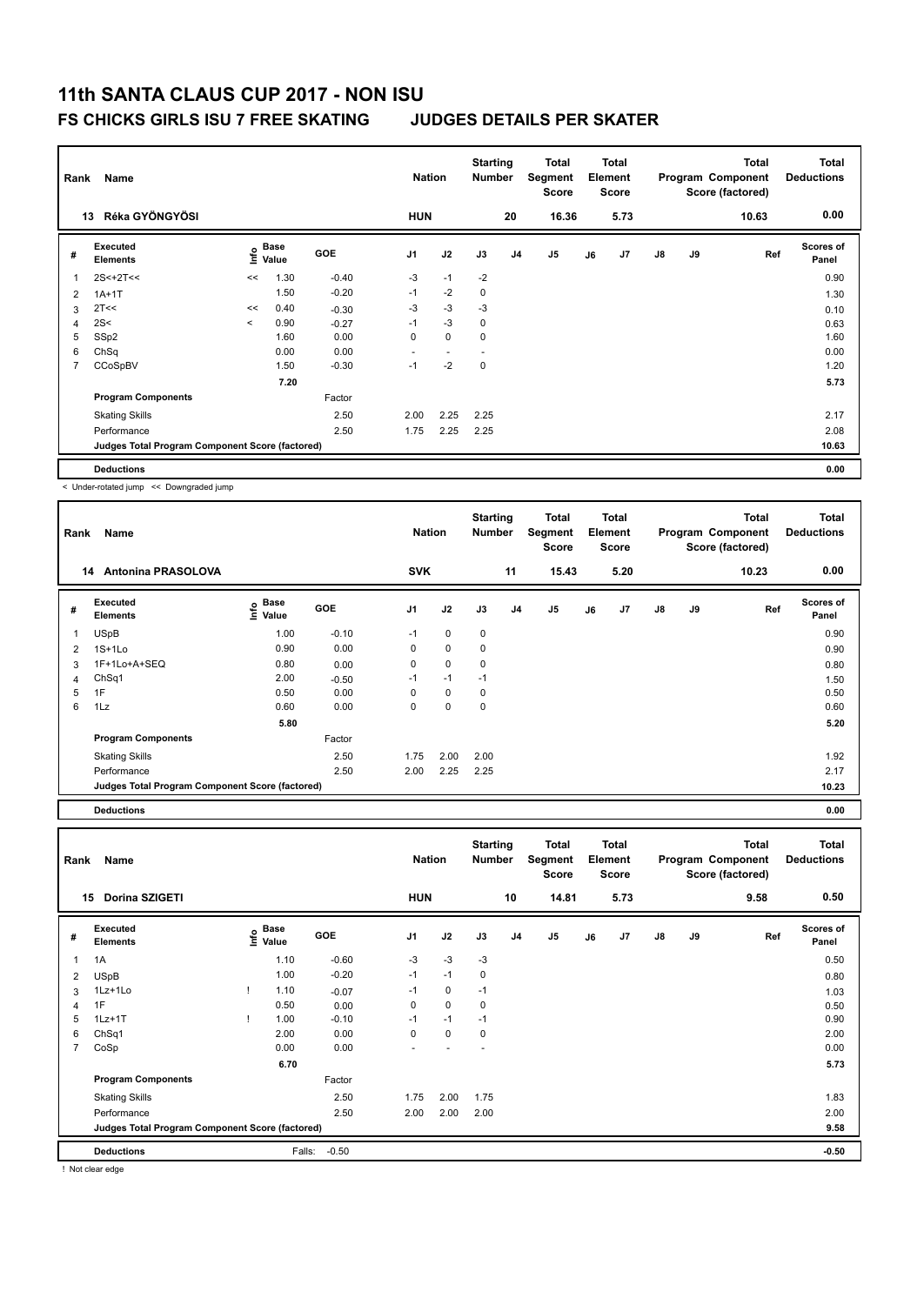### **FS CHICKS GIRLS ISU 7 FREE SKATING JUDGES DETAILS PER SKATER**

|                | Name<br>Rank<br>Réka GYÖNGYÖSI<br>13            |         |                      |         | <b>Nation</b>  |                          | <b>Starting</b><br><b>Number</b> |    | Total<br>Segment<br><b>Score</b> |    | <b>Total</b><br>Element<br><b>Score</b> |               |    | <b>Total</b><br>Program Component<br>Score (factored) | Total<br><b>Deductions</b> |
|----------------|-------------------------------------------------|---------|----------------------|---------|----------------|--------------------------|----------------------------------|----|----------------------------------|----|-----------------------------------------|---------------|----|-------------------------------------------------------|----------------------------|
|                |                                                 |         |                      |         | <b>HUN</b>     |                          |                                  | 20 | 16.36                            |    | 5.73                                    |               |    | 10.63                                                 | 0.00                       |
| #              | Executed<br><b>Elements</b>                     | lnfo    | <b>Base</b><br>Value | GOE     | J <sub>1</sub> | J2                       | J3                               | J4 | J5                               | J6 | J7                                      | $\mathsf{J}8$ | J9 | Ref                                                   | <b>Scores of</b><br>Panel  |
| -1             | $2S < +2T <$                                    | <<      | 1.30                 | $-0.40$ | $-3$           | $-1$                     | $-2$                             |    |                                  |    |                                         |               |    |                                                       | 0.90                       |
| $\overline{2}$ | $1A+1T$                                         |         | 1.50                 | $-0.20$ | $-1$           | $-2$                     | 0                                |    |                                  |    |                                         |               |    |                                                       | 1.30                       |
| 3              | 2T<<                                            | <<      | 0.40                 | $-0.30$ | $-3$           | $-3$                     | $-3$                             |    |                                  |    |                                         |               |    |                                                       | 0.10                       |
| 4              | 2S<                                             | $\prec$ | 0.90                 | $-0.27$ | $-1$           | $-3$                     | $\mathbf 0$                      |    |                                  |    |                                         |               |    |                                                       | 0.63                       |
| 5              | SSp2                                            |         | 1.60                 | 0.00    | 0              | $\mathbf 0$              | 0                                |    |                                  |    |                                         |               |    |                                                       | 1.60                       |
| 6              | ChSq                                            |         | 0.00                 | 0.00    | ۰              | $\overline{\phantom{a}}$ | $\overline{a}$                   |    |                                  |    |                                         |               |    |                                                       | 0.00                       |
| $\overline{7}$ | CCoSpBV                                         |         | 1.50                 | $-0.30$ | $-1$           | $-2$                     | 0                                |    |                                  |    |                                         |               |    |                                                       | 1.20                       |
|                |                                                 |         | 7.20                 |         |                |                          |                                  |    |                                  |    |                                         |               |    |                                                       | 5.73                       |
|                | <b>Program Components</b>                       |         |                      | Factor  |                |                          |                                  |    |                                  |    |                                         |               |    |                                                       |                            |
|                | <b>Skating Skills</b>                           |         |                      | 2.50    | 2.00           | 2.25                     | 2.25                             |    |                                  |    |                                         |               |    |                                                       | 2.17                       |
|                | Performance                                     |         |                      | 2.50    | 1.75           | 2.25                     | 2.25                             |    |                                  |    |                                         |               |    |                                                       | 2.08                       |
|                | Judges Total Program Component Score (factored) |         |                      |         |                |                          |                                  |    |                                  |    |                                         |               |    |                                                       | 10.63                      |
|                | <b>Deductions</b>                               |         |                      |         |                |                          |                                  |    |                                  |    |                                         |               |    |                                                       | 0.00                       |

< Under-rotated jump << Downgraded jump

| Rank | Name                                            |                   |            | <b>Nation</b>  |             | <b>Starting</b><br><b>Number</b> |                | Total<br>Segment<br><b>Score</b> |    | Total<br>Element<br><b>Score</b> |    |    | <b>Total</b><br>Program Component<br>Score (factored) | <b>Total</b><br><b>Deductions</b> |
|------|-------------------------------------------------|-------------------|------------|----------------|-------------|----------------------------------|----------------|----------------------------------|----|----------------------------------|----|----|-------------------------------------------------------|-----------------------------------|
|      | <b>Antonina PRASOLOVA</b><br>14                 |                   |            | <b>SVK</b>     |             |                                  | 11             | 15.43                            |    | 5.20                             |    |    | 10.23                                                 | 0.00                              |
| #    | Executed<br><b>Elements</b>                     | e Base<br>E Value | <b>GOE</b> | J <sub>1</sub> | J2          | J3                               | J <sub>4</sub> | J <sub>5</sub>                   | J6 | J <sub>7</sub>                   | J8 | J9 | Ref                                                   | Scores of<br>Panel                |
| 1    | <b>USpB</b>                                     | 1.00              | $-0.10$    | $-1$           | 0           | 0                                |                |                                  |    |                                  |    |    |                                                       | 0.90                              |
| 2    | $1S+1Lo$                                        | 0.90              | 0.00       | 0              | $\mathbf 0$ | 0                                |                |                                  |    |                                  |    |    |                                                       | 0.90                              |
| 3    | 1F+1Lo+A+SEQ                                    | 0.80              | 0.00       | 0              | $\mathbf 0$ | 0                                |                |                                  |    |                                  |    |    |                                                       | 0.80                              |
| 4    | Ch <sub>Sq1</sub>                               | 2.00              | $-0.50$    | $-1$           | $-1$        | $-1$                             |                |                                  |    |                                  |    |    |                                                       | 1.50                              |
| 5    | 1F                                              | 0.50              | 0.00       | 0              | 0           | 0                                |                |                                  |    |                                  |    |    |                                                       | 0.50                              |
| 6    | 1Lz                                             | 0.60              | 0.00       | 0              | $\mathbf 0$ | $\mathbf 0$                      |                |                                  |    |                                  |    |    |                                                       | 0.60                              |
|      |                                                 | 5.80              |            |                |             |                                  |                |                                  |    |                                  |    |    |                                                       | 5.20                              |
|      | <b>Program Components</b>                       |                   | Factor     |                |             |                                  |                |                                  |    |                                  |    |    |                                                       |                                   |
|      | <b>Skating Skills</b>                           |                   | 2.50       | 1.75           | 2.00        | 2.00                             |                |                                  |    |                                  |    |    |                                                       | 1.92                              |
|      | Performance                                     |                   | 2.50       | 2.00           | 2.25        | 2.25                             |                |                                  |    |                                  |    |    |                                                       | 2.17                              |
|      | Judges Total Program Component Score (factored) |                   |            |                |             |                                  |                |                                  |    |                                  |    |    |                                                       | 10.23                             |
|      | <b>Deductions</b>                               |                   |            |                |             |                                  |                |                                  |    |                                  |    |    |                                                       | 0.00                              |

**Total Deductions Total Program Component Score (factored) Total Element Segment Score Total Score Starting Rank Name Nation Number # Executed Elements Base Value GOE J1 J2 J3 J4 J5 J6 J7 J8 J9 Scores of Panel** 1 1A 1A 1.10 -0.60 -3 -3 -3 **Ref**  1A 0.50 **Info 15 Dorina SZIGETI HUN 10 14.81 5.73 9.58 0.50** 2 USpB 1.00 -0.20 -1 -1 0 0.80 3 1Lz+1Lo ! 1.10 -0.07 -1 0 -1 1.03 4 1F 0.50 0.00 0 0 0 0.50 5 1Lz+1T ! 1.00 -0.10 -1 -1 -1 0.90 6 ChSq1 2.00 0.00 0 0 0 2.00 7 CoSp 0.00 0.00 - - - 0.00 **6.70** 5.73 **Program Components**  Skating Skills 1.75 2.00 1.75 Factor 2.50 1.75 2.00 1.75 2.00 1.75 2.00 2.50 and 2.50 and 2.50 and 2.83 Performance 2.50 2.00 2.00 2.00 2.00 **Deductions** Falls: -0.50 **-0.50 Judges Total Program Component Score (factored) 9.58**

! Not clear edge